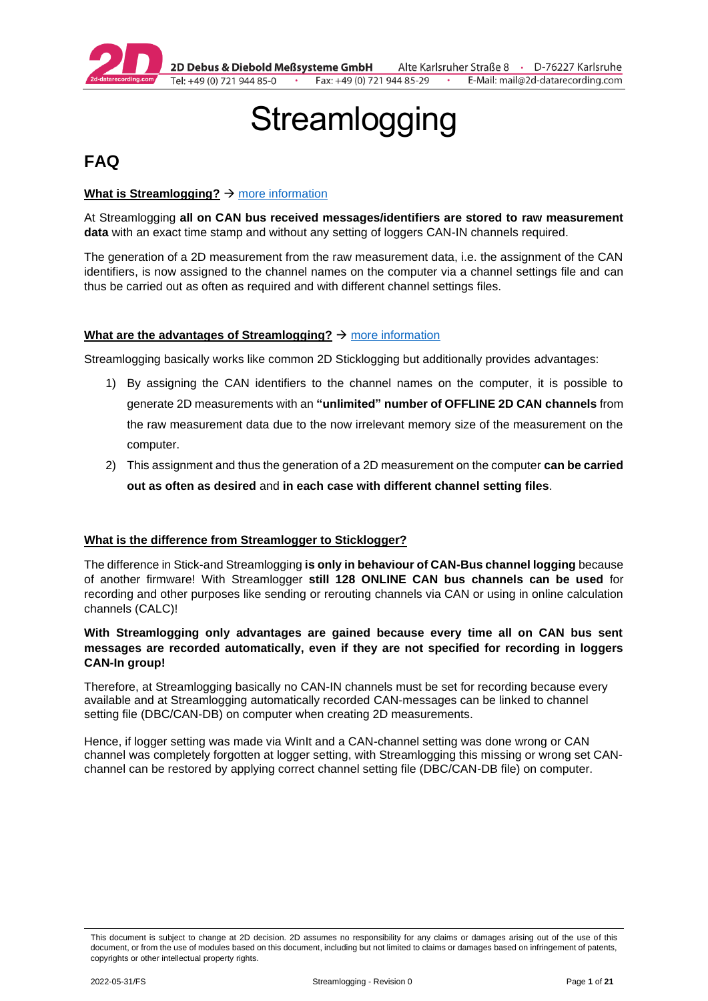

2D Debus & Diebold Meßsysteme GmbH Alte Karlsruher Straße 8 · D-76227 Karlsruhe Fax: +49 (0) 721 944 85-29 Tel: +49 (0) 721 944 85-0  $\cdot$ E-Mail: mail@2d-datarecording.com

# **Streamlogging**

# <span id="page-0-0"></span>**FAQ**

#### **What is Streamlogging?** → [more information](#page-4-0)

At Streamlogging **all on CAN bus received messages/identifiers are stored to raw measurement data** with an exact time stamp and without any setting of loggers CAN-IN channels required.

The generation of a 2D measurement from the raw measurement data, i.e. the assignment of the CAN identifiers, is now assigned to the channel names on the computer via a channel settings file and can thus be carried out as often as required and with different channel settings files.

#### **What are the advantages of Streamlogging?** → [more information](#page-4-0)

Streamlogging basically works like common 2D Sticklogging but additionally provides advantages:

- 1) By assigning the CAN identifiers to the channel names on the computer, it is possible to generate 2D measurements with an **"unlimited" number of OFFLINE 2D CAN channels** from the raw measurement data due to the now irrelevant memory size of the measurement on the computer.
- 2) This assignment and thus the generation of a 2D measurement on the computer **can be carried out as often as desired** and **in each case with different channel setting files**.

#### **What is the difference from Streamlogger to Sticklogger?**

The difference in Stick-and Streamlogging **is only in behaviour of CAN-Bus channel logging** because of another firmware! With Streamlogger **still 128 ONLINE CAN bus channels can be used** for recording and other purposes like sending or rerouting channels via CAN or using in online calculation channels (CALC)!

#### **With Streamlogging only advantages are gained because every time all on CAN bus sent messages are recorded automatically, even if they are not specified for recording in loggers CAN-In group!**

Therefore, at Streamlogging basically no CAN-IN channels must be set for recording because every available and at Streamlogging automatically recorded CAN-messages can be linked to channel setting file (DBC/CAN-DB) on computer when creating 2D measurements.

Hence, if logger setting was made via WinIt and a CAN-channel setting was done wrong or CAN channel was completely forgotten at logger setting, with Streamlogging this missing or wrong set CANchannel can be restored by applying correct channel setting file (DBC/CAN-DB file) on computer.

This document is subject to change at 2D decision. 2D assumes no responsibility for any claims or damages arising out of the use of this document, or from the use of modules based on this document, including but not limited to claims or damages based on infringement of patents, copyrights or other intellectual property rights.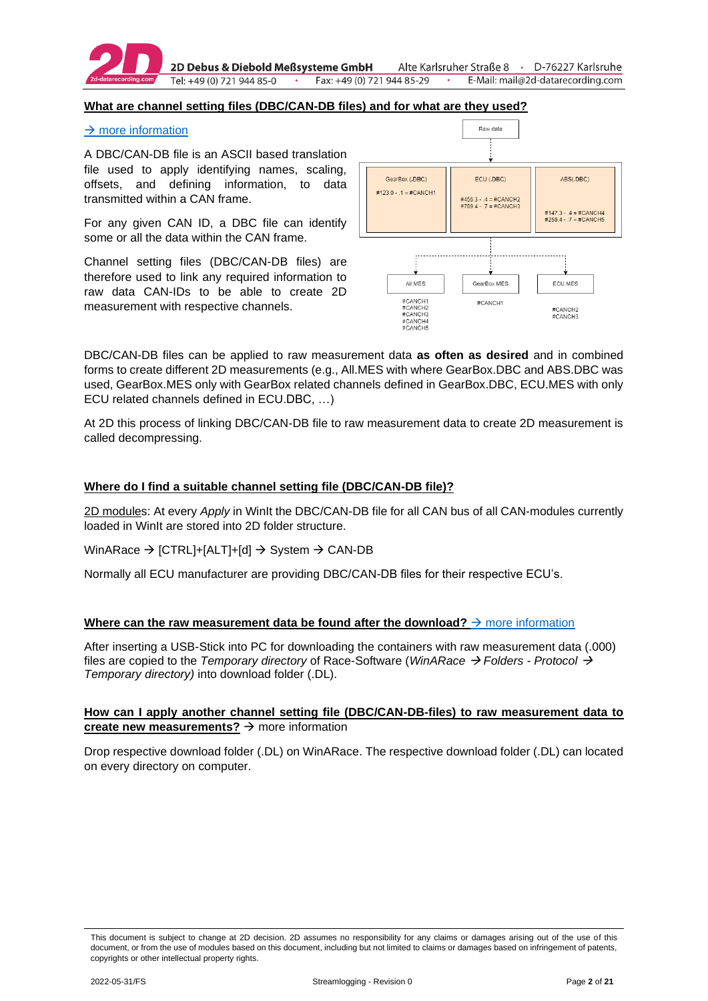

2D Debus & Diebold Meßsysteme GmbH Tel: +49 (0) 721 944 85-0

#### **What are channel setting files (DBC/CAN-DB files) and for what are they used?**

#### $\rightarrow$  [more information](#page-14-0)

A DBC/CAN-DB file is an ASCII based translation file used to apply identifying names, scaling, offsets, and defining information, to data transmitted within a CAN frame.

For any given CAN ID, a DBC file can identify some or all the data within the CAN frame.

Channel setting files (DBC/CAN-DB files) are therefore used to link any required information to raw data CAN-IDs to be able to create 2D measurement with respective channels.



DBC/CAN-DB files can be applied to raw measurement data **as often as desired** and in combined forms to create different 2D measurements (e.g., All.MES with where GearBox.DBC and ABS.DBC was used, GearBox.MES only with GearBox related channels defined in GearBox.DBC, ECU.MES with only ECU related channels defined in ECU.DBC, …)

At 2D this process of linking DBC/CAN-DB file to raw measurement data to create 2D measurement is called decompressing.

#### **Where do I find a suitable channel setting file (DBC/CAN-DB file)?**

2D modules: At every *Apply* in WinIt the DBC/CAN-DB file for all CAN bus of all CAN-modules currently loaded in WinIt are stored into 2D folder structure.

WinARace → [CTRL]+[ALT]+[d] → System → CAN-DB

Normally all ECU manufacturer are providing DBC/CAN-DB files for their respective ECU's.

#### **Where can the raw measurement data be found after the download?**  $\rightarrow$  [more information](#page-14-0)

After inserting a USB-Stick into PC for downloading the containers with raw measurement data (.000) files are copied to the *Temporary directory* of Race-Software (*WinARace* → *Folders - Protocol* → *Temporary directory)* into download folder (.DL).

#### **How can I apply another channel setting file (DBC/CAN-DB-files) to raw measurement data to create new measurements?** → more information

Drop respective download folder (.DL) on WinARace. The respective download folder (.DL) can located on every directory on computer.

This document is subject to change at 2D decision. 2D assumes no responsibility for any claims or damages arising out of the use of this document, or from the use of modules based on this document, including but not limited to claims or damages based on infringement of patents, copyrights or other intellectual property rights.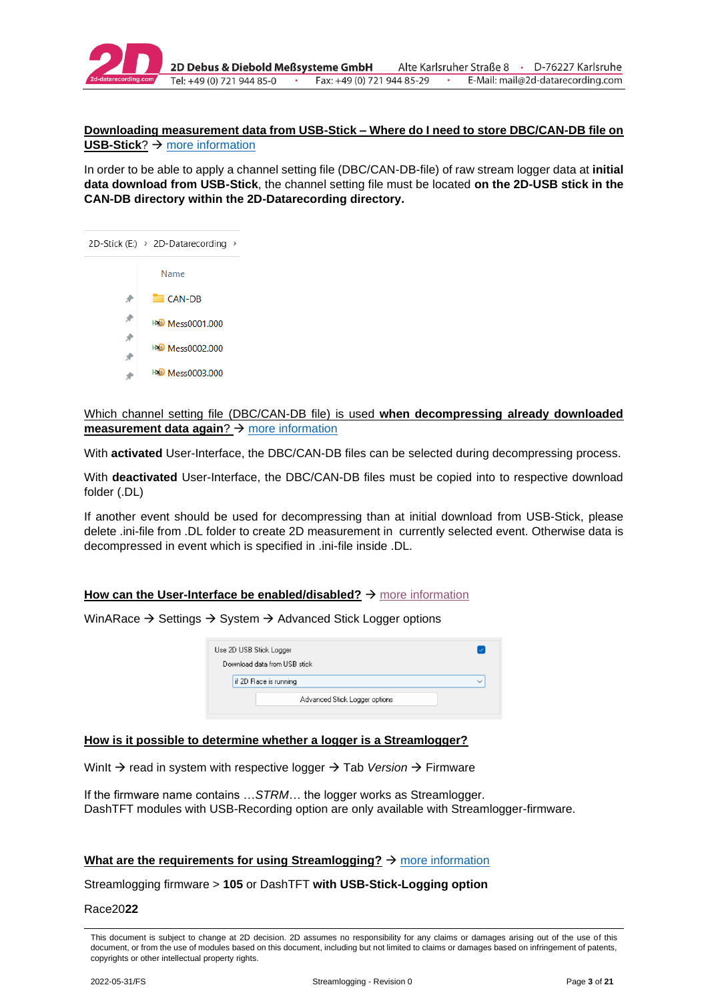

#### **Downloading measurement data from USB-Stick – Where do I need to store DBC/CAN-DB file on USB-Stick**? → [more information](#page-9-0)

In order to be able to apply a channel setting file (DBC/CAN-DB-file) of raw stream logger data at **initial data download from USB-Stick**, the channel setting file must be located **on the 2D-USB stick in the CAN-DB directory within the 2D-Datarecording directory.**



Which channel setting file (DBC/CAN-DB file) is used **when decompressing already downloaded measurement data again**? → [more information](#page-10-0)

With **activated** User-Interface, the DBC/CAN-DB files can be selected during decompressing process.

With **deactivated** User-Interface, the DBC/CAN-DB files must be copied into to respective download folder (.DL)

If another event should be used for decompressing than at initial download from USB-Stick, please delete .ini-file from .DL folder to create 2D measurement in currently selected event. Otherwise data is decompressed in event which is specified in .ini-file inside .DL.

#### How can the User-Interface be enabled/disabled? → [more information](#page-16-0)

WinARace → Settings → System → Advanced Stick Logger options

| Use 2D USB Stick Logger |                               | ∣√           |
|-------------------------|-------------------------------|--------------|
|                         | Download data from USB stick  |              |
|                         | if 2D Race is running         | $\checkmark$ |
|                         | Advanced Stick Logger options |              |

#### **How is it possible to determine whether a logger is a Streamlogger?**

WinIt → read in system with respective logger → Tab *Version* → Firmware

If the firmware name contains …*STRM*… the logger works as Streamlogger. DashTFT modules with USB-Recording option are only available with Streamlogger-firmware.

#### **What are the requirements for using Streamlogging?** → [more information](#page-3-0)

Streamlogging firmware > **105** or DashTFT **with USB-Stick-Logging option**

Race20**22**

This document is subject to change at 2D decision. 2D assumes no responsibility for any claims or damages arising out of the use of this document, or from the use of modules based on this document, including but not limited to claims or damages based on infringement of patents, copyrights or other intellectual property rights.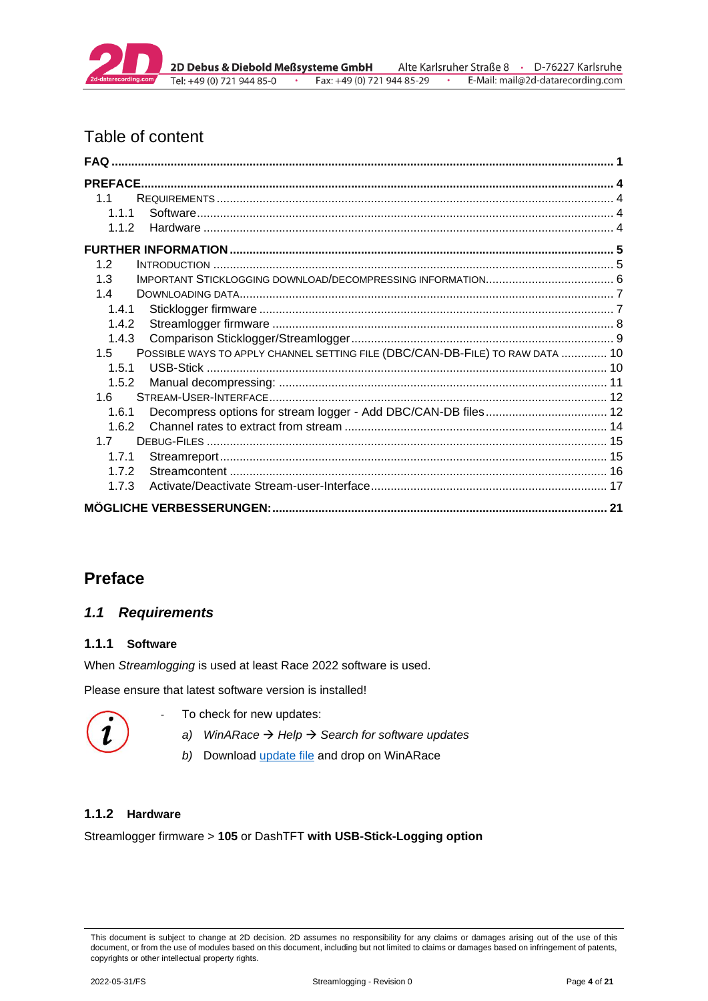

# Table of content

| 11                                                                                   |  |
|--------------------------------------------------------------------------------------|--|
| 111                                                                                  |  |
| 1.1.2                                                                                |  |
|                                                                                      |  |
| 1.2                                                                                  |  |
| 1.3                                                                                  |  |
| 14                                                                                   |  |
| 1.4.1                                                                                |  |
| 1.4.2                                                                                |  |
| 1.4.3                                                                                |  |
| POSSIBLE WAYS TO APPLY CHANNEL SETTING FILE (DBC/CAN-DB-FILE) TO RAW DATA  10<br>1.5 |  |
| 1.5.1                                                                                |  |
| 1.5.2                                                                                |  |
| 1.6                                                                                  |  |
| 1.6.1                                                                                |  |
| 1.6.2                                                                                |  |
| 17                                                                                   |  |
| 1.7.1                                                                                |  |
| 1.7.2                                                                                |  |
| 1.7.3                                                                                |  |
|                                                                                      |  |

# <span id="page-3-1"></span>**Preface**

# <span id="page-3-0"></span>*1.1 Requirements*

#### <span id="page-3-2"></span>**1.1.1 Software**

When *Streamlogging* is used at least Race 2022 software is used.

Please ensure that latest software version is installed!



- To check for new updates:
	- *a) WinARace* → *Help* → *Search for software updates*
	- *b)* Download [update file](https://2d-datarecording.com/Downloads/SoftwareUpdates/Race2022.2DU) and drop on WinARace

### <span id="page-3-3"></span>**1.1.2 Hardware**

Streamlogger firmware > **105** or DashTFT **with USB-Stick-Logging option**

This document is subject to change at 2D decision. 2D assumes no responsibility for any claims or damages arising out of the use of this document, or from the use of modules based on this document, including but not limited to claims or damages based on infringement of patents, copyrights or other intellectual property rights.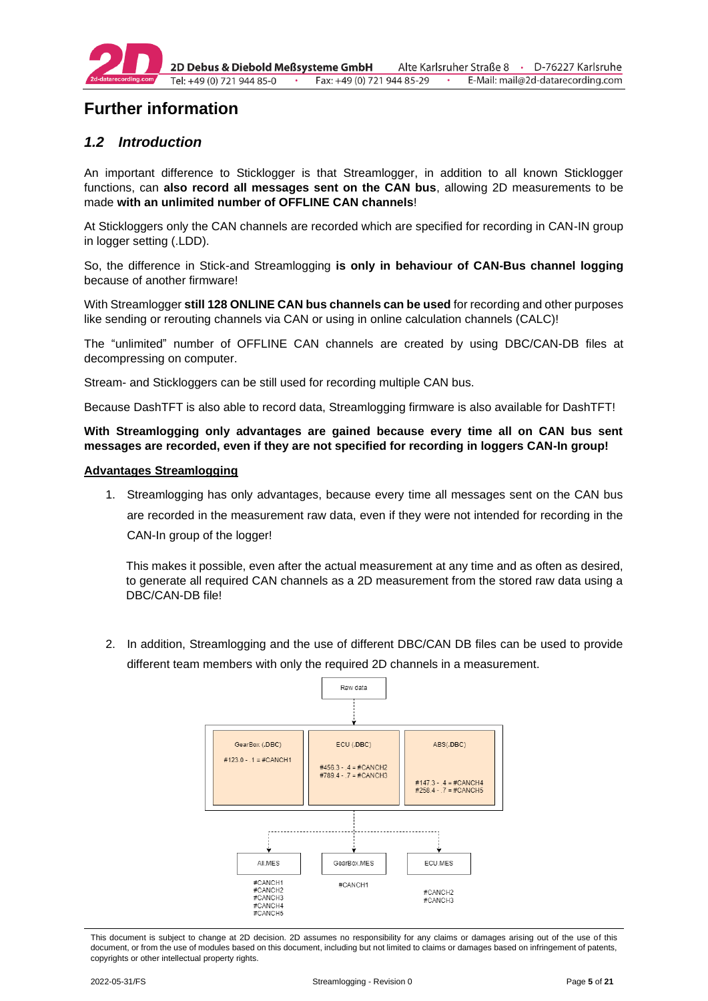

# <span id="page-4-1"></span>**Further information**

# <span id="page-4-0"></span>*1.2 Introduction*

An important difference to Sticklogger is that Streamlogger, in addition to all known Sticklogger functions, can **also record all messages sent on the CAN bus**, allowing 2D measurements to be made **with an unlimited number of OFFLINE CAN channels**!

At Stickloggers only the CAN channels are recorded which are specified for recording in CAN-IN group in logger setting (.LDD).

So, the difference in Stick-and Streamlogging **is only in behaviour of CAN-Bus channel logging** because of another firmware!

With Streamlogger **still 128 ONLINE CAN bus channels can be used** for recording and other purposes like sending or rerouting channels via CAN or using in online calculation channels (CALC)!

The "unlimited" number of OFFLINE CAN channels are created by using DBC/CAN-DB files at decompressing on computer.

Stream- and Stickloggers can be still used for recording multiple CAN bus.

Because DashTFT is also able to record data, Streamlogging firmware is also available for DashTFT!

**With Streamlogging only advantages are gained because every time all on CAN bus sent messages are recorded, even if they are not specified for recording in loggers CAN-In group!**

#### **Advantages Streamlogging**

1. Streamlogging has only advantages, because every time all messages sent on the CAN bus are recorded in the measurement raw data, even if they were not intended for recording in the CAN-In group of the logger!

This makes it possible, even after the actual measurement at any time and as often as desired, to generate all required CAN channels as a 2D measurement from the stored raw data using a DBC/CAN-DB file!

2. In addition, Streamlogging and the use of different DBC/CAN DB files can be used to provide different team members with only the required 2D channels in a measurement.



This document is subject to change at 2D decision. 2D assumes no responsibility for any claims or damages arising out of the use of this document, or from the use of modules based on this document, including but not limited to claims or damages based on infringement of patents, copyrights or other intellectual property rights.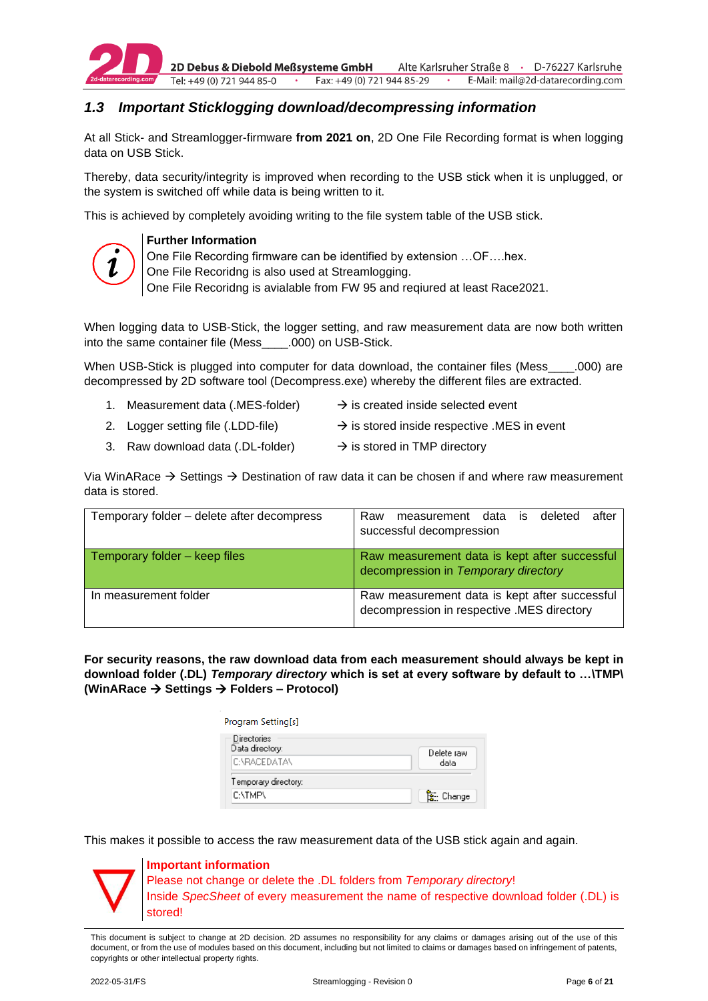

# <span id="page-5-0"></span>*1.3 Important Sticklogging download/decompressing information*

At all Stick- and Streamlogger-firmware **from 2021 on**, 2D One File Recording format is when logging data on USB Stick.

Thereby, data security/integrity is improved when recording to the USB stick when it is unplugged, or the system is switched off while data is being written to it.

This is achieved by completely avoiding writing to the file system table of the USB stick.



#### **Further Information**

One File Recording firmware can be identified by extension …OF….hex.

One File Recoridng is also used at Streamlogging.

One File Recoridng is avialable from FW 95 and reqiured at least Race2021.

When logging data to USB-Stick, the logger setting, and raw measurement data are now both written into the same container file (Mess\_\_\_\_.000) on USB-Stick.

When USB-Stick is plugged into computer for data download, the container files (Mess ......................... decompressed by 2D software tool (Decompress.exe) whereby the different files are extracted.

- 1. Measurement data (.MES-folder)  $\rightarrow$  is created inside selected event 2. Logger setting file (.LDD-file)  $\rightarrow$  is stored inside respective .MES in event
- 3. Raw download data (.DL-folder)  $\rightarrow$  is stored in TMP directory

Via WinARace  $\rightarrow$  Settings  $\rightarrow$  Destination of raw data it can be chosen if and where raw measurement data is stored.

| Temporary folder – delete after decompress | after<br>Raw<br>measurement data is<br>deleted<br>successful decompression                  |
|--------------------------------------------|---------------------------------------------------------------------------------------------|
| Temporary folder – keep files              | Raw measurement data is kept after successful<br>decompression in Temporary directory       |
| In measurement folder                      | Raw measurement data is kept after successful<br>decompression in respective .MES directory |

**For security reasons, the raw download data from each measurement should always be kept in download folder (.DL)** *Temporary directory* **which is set at every software by default to …\TMP\ (WinARace** → **Settings** → **Folders – Protocol)** 

| Program Setting[s]             |                   |
|--------------------------------|-------------------|
| Directories<br>Data directory: | Delete raw        |
| C:\RACEDATA\                   | data              |
| Temporary directory:           |                   |
| <b>C:VTMPV</b>                 | <b>B</b> : Change |

This makes it possible to access the raw measurement data of the USB stick again and again.



#### **Important information**

Please not change or delete the .DL folders from *Temporary directory*! Inside *SpecSheet* of every measurement the name of respective download folder (.DL) is stored!

This document is subject to change at 2D decision. 2D assumes no responsibility for any claims or damages arising out of the use of this document, or from the use of modules based on this document, including but not limited to claims or damages based on infringement of patents, copyrights or other intellectual property rights.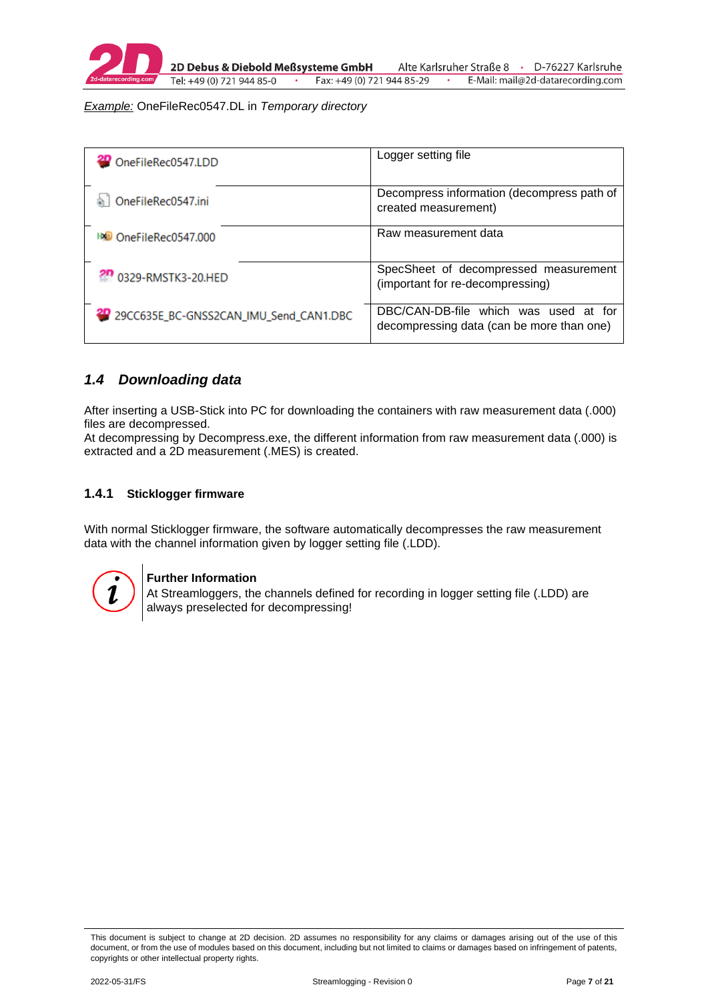

2D Debus & Diebold Meßsysteme GmbH Fax: +49 (0) 721 944 85-29 Tel: +49 (0) 721 944 85-0

Alte Karlsruher Straße 8 · D-76227 Karlsruhe E-Mail: mail@2d-datarecording.com

*Example:* OneFileRec0547.DL in *Temporary directory*

| OneFileRec0547.LDD                        | Logger setting file                                                                |
|-------------------------------------------|------------------------------------------------------------------------------------|
| OneFileRec0547.ini                        | Decompress information (decompress path of<br>created measurement)                 |
| <b>BO</b> OneFileRec0547.000              | Raw measurement data                                                               |
| 20 0329-RMSTK3-20.HED                     | SpecSheet of decompressed measurement<br>(important for re-decompressing)          |
| 29 29CC635E_BC-GNSS2CAN_IMU_Send_CAN1.DBC | DBC/CAN-DB-file which was used at for<br>decompressing data (can be more than one) |

#### <span id="page-6-0"></span>*1.4 Downloading data*

After inserting a USB-Stick into PC for downloading the containers with raw measurement data (.000) files are decompressed.

At decompressing by Decompress.exe, the different information from raw measurement data (.000) is extracted and a 2D measurement (.MES) is created.

#### <span id="page-6-1"></span>**1.4.1 Sticklogger firmware**

With normal Sticklogger firmware, the software automatically decompresses the raw measurement data with the channel information given by logger setting file (.LDD).



#### **Further Information**

At Streamloggers, the channels defined for recording in logger setting file (.LDD) are always preselected for decompressing!

This document is subject to change at 2D decision. 2D assumes no responsibility for any claims or damages arising out of the use of this document, or from the use of modules based on this document, including but not limited to claims or damages based on infringement of patents, copyrights or other intellectual property rights.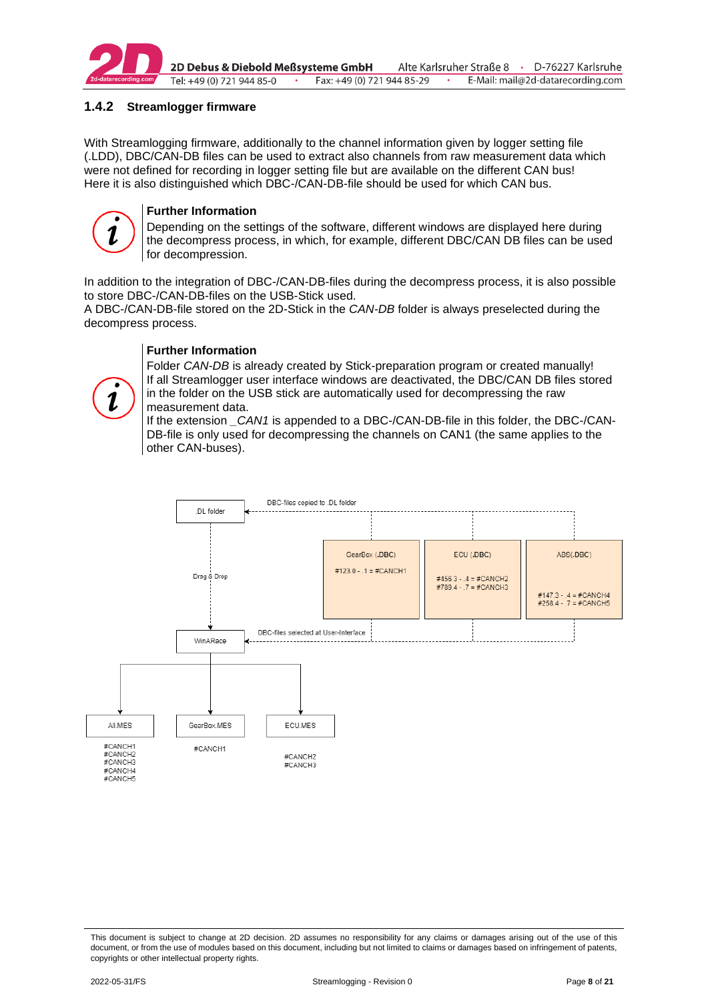

2D Debus & Diebold Meßsysteme GmbH Alte Karlsruher Straße 8 · D-76227 Karlsruhe Tel: +49 (0) 721 944 85-0 Fax: +49 (0) 721 944 85-29 E-Mail: mail@2d-datarecording.com

#### <span id="page-7-0"></span>**1.4.2 Streamlogger firmware**

With Streamlogging firmware, additionally to the channel information given by logger setting file (.LDD), DBC/CAN-DB files can be used to extract also channels from raw measurement data which were not defined for recording in logger setting file but are available on the different CAN bus! Here it is also distinguished which DBC-/CAN-DB-file should be used for which CAN bus.



#### **Further Information**

Depending on the settings of the software, different windows are displayed here during the decompress process, in which, for example, different DBC/CAN DB files can be used for decompression.

In addition to the integration of DBC-/CAN-DB-files during the decompress process, it is also possible to store DBC-/CAN-DB-files on the USB-Stick used.

A DBC-/CAN-DB-file stored on the 2D-Stick in the *CAN-DB* folder is always preselected during the decompress process.

#### **Further Information**

Folder *CAN-DB* is already created by Stick-preparation program or created manually! If all Streamlogger user interface windows are deactivated, the DBC/CAN DB files stored in the folder on the USB stick are automatically used for decompressing the raw measurement data.

If the extension *\_CAN1* is appended to a DBC-/CAN-DB-file in this folder, the DBC-/CAN-DB-file is only used for decompressing the channels on CAN1 (the same applies to the other CAN-buses).



This document is subject to change at 2D decision. 2D assumes no responsibility for any claims or damages arising out of the use of this document, or from the use of modules based on this document, including but not limited to claims or damages based on infringement of patents, copyrights or other intellectual property rights.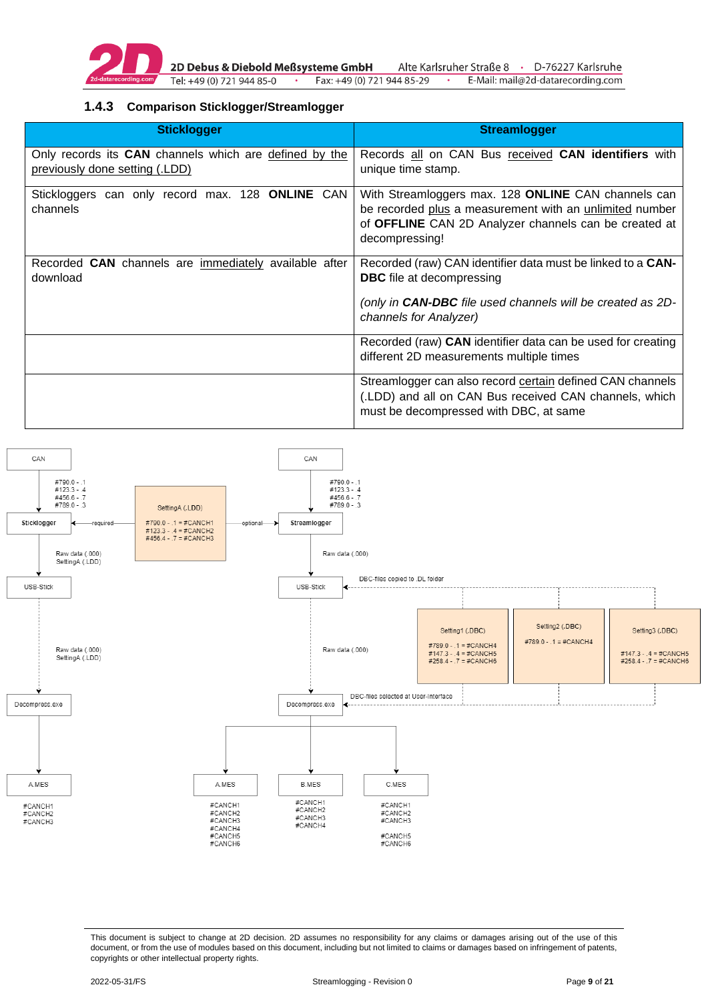

2D Debus & Diebold Meßsysteme GmbH Tel: +49 (0) 721 944 85-0  $\sim$ 

Alte Karlsruher Straße 8 · D-76227 Karlsruhe Fax: +49 (0) 721 944 85-29 E-Mail: mail@2d-datarecording.com  $\bullet$ 

#### <span id="page-8-0"></span>**1.4.3 Comparison Sticklogger/Streamlogger**

| <b>Sticklogger</b>                                                                       | <b>Streamlogger</b>                                                                                                                                                                       |
|------------------------------------------------------------------------------------------|-------------------------------------------------------------------------------------------------------------------------------------------------------------------------------------------|
| Only records its CAN channels which are defined by the<br>previously done setting (.LDD) | Records all on CAN Bus received CAN identifiers with<br>unique time stamp.                                                                                                                |
| Stickloggers can only record max. 128 ONLINE CAN<br>channels                             | With Streamloggers max. 128 ONLINE CAN channels can<br>be recorded plus a measurement with an unlimited number<br>of OFFLINE CAN 2D Analyzer channels can be created at<br>decompressing! |
| Recorded CAN channels are immediately available after<br>download                        | Recorded (raw) CAN identifier data must be linked to a CAN-<br><b>DBC</b> file at decompressing                                                                                           |
|                                                                                          | (only in <b>CAN-DBC</b> file used channels will be created as 2D-<br>channels for Analyzer)                                                                                               |
|                                                                                          | Recorded (raw) CAN identifier data can be used for creating<br>different 2D measurements multiple times                                                                                   |
|                                                                                          | Streamlogger can also record certain defined CAN channels<br>(.LDD) and all on CAN Bus received CAN channels, which<br>must be decompressed with DBC, at same                             |



This document is subject to change at 2D decision. 2D assumes no responsibility for any claims or damages arising out of the use of this document, or from the use of modules based on this document, including but not limited to claims or damages based on infringement of patents, copyrights or other intellectual property rights.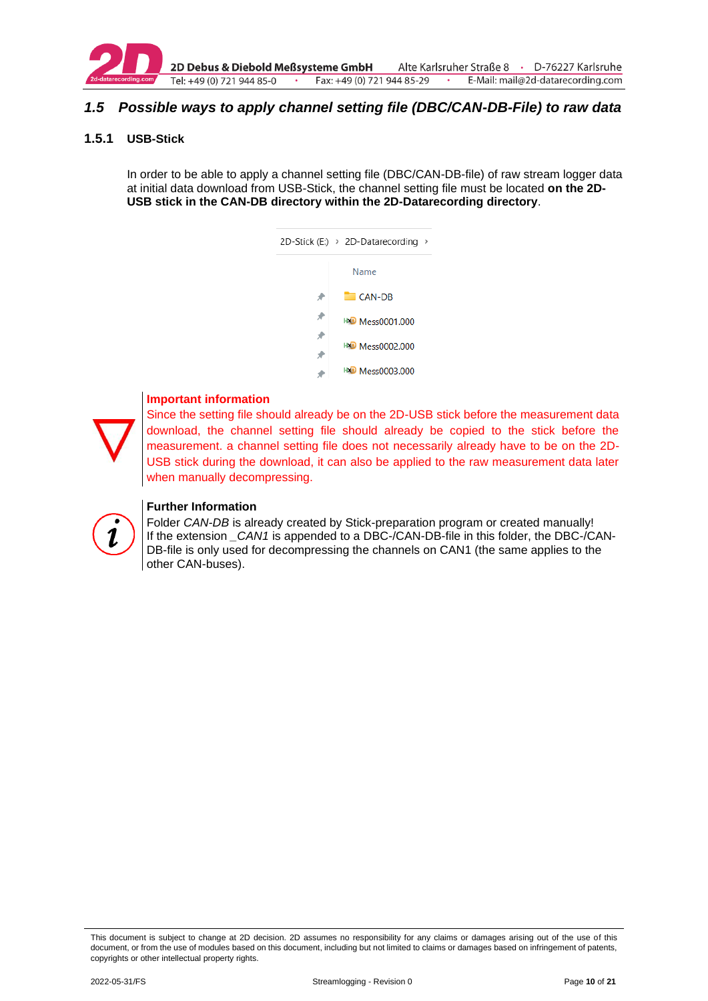

2D Debus & Diebold Meßsysteme GmbH Tel: +49 (0) 721 944 85-0  $\cdot$ Fax: +49 (0) 721 944 85-29

Alte Karlsruher Straße 8 · D-76227 Karlsruhe E-Mail: mail@2d-datarecording.com

### <span id="page-9-1"></span>*1.5 Possible ways to apply channel setting file (DBC/CAN-DB-File) to raw data*

#### <span id="page-9-0"></span>**1.5.1 USB-Stick**

In order to be able to apply a channel setting file (DBC/CAN-DB-file) of raw stream logger data at initial data download from USB-Stick, the channel setting file must be located **on the 2D-USB stick in the CAN-DB directory within the 2D-Datarecording directory**.

| $2D-Stick(E) \rightarrow 2D-Data recording$<br>$\rightarrow$ |
|--------------------------------------------------------------|
| Name                                                         |
| CAN-DB                                                       |
| <b>HXD Mess0001.000</b>                                      |
| <b>HMD</b> Mess0002.000                                      |
| <b>HXD Mess0003.000</b>                                      |



#### **Important information**

Since the setting file should already be on the 2D-USB stick before the measurement data download, the channel setting file should already be copied to the stick before the measurement. a channel setting file does not necessarily already have to be on the 2D-USB stick during the download, it can also be applied to the raw measurement data later when manually decompressing.



#### **Further Information**

Folder *CAN-DB* is already created by Stick-preparation program or created manually! If the extension *CAN1* is appended to a DBC-/CAN-DB-file in this folder, the DBC-/CAN-DB-file is only used for decompressing the channels on CAN1 (the same applies to the other CAN-buses).

This document is subject to change at 2D decision. 2D assumes no responsibility for any claims or damages arising out of the use of this document, or from the use of modules based on this document, including but not limited to claims or damages based on infringement of patents, copyrights or other intellectual property rights.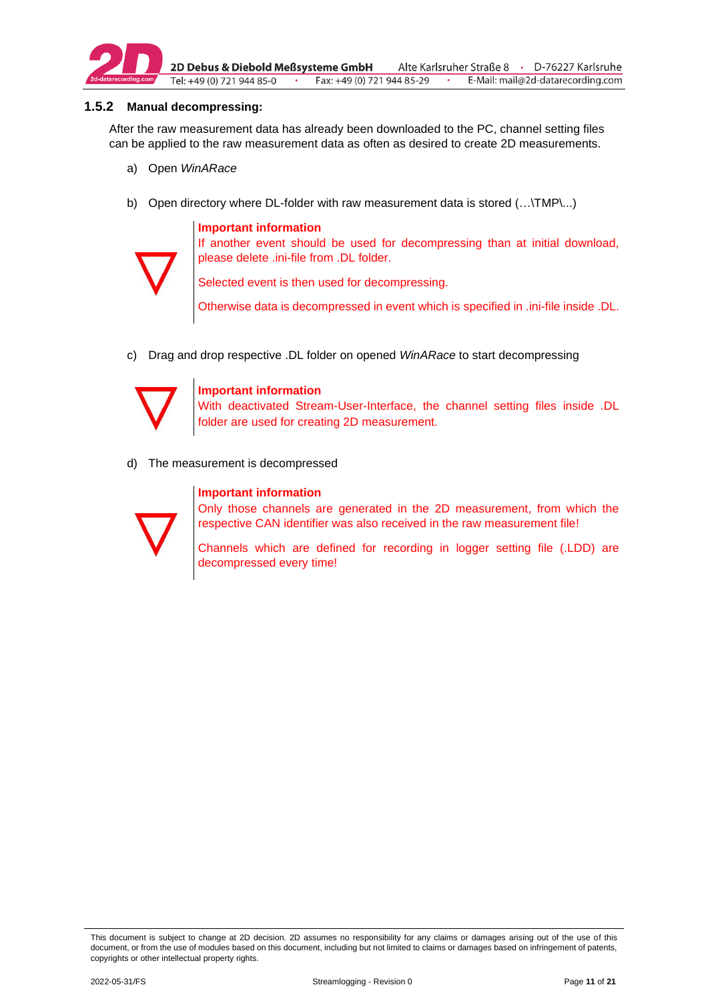

2D Debus & Diebold Meßsysteme GmbH Alte Karlsruher Straße 8 · D-76227 Karlsruhe Tel: +49 (0) 721 944 85-0  $\cdot$ Fax: +49 (0) 721 944 85-29 E-Mail: mail@2d-datarecording.com

#### <span id="page-10-0"></span>**1.5.2 Manual decompressing:**

After the raw measurement data has already been downloaded to the PC, channel setting files can be applied to the raw measurement data as often as desired to create 2D measurements.

- a) Open *WinARace*
- b) Open directory where DL-folder with raw measurement data is stored (...\TMP\...)

#### **Important information**



If another event should be used for decompressing than at initial download, please delete .ini-file from .DL folder.

Selected event is then used for decompressing.

Otherwise data is decompressed in event which is specified in .ini-file inside .DL.

c) Drag and drop respective .DL folder on opened *WinARace* to start decompressing



#### **Important information**

With deactivated Stream-User-Interface, the channel setting files inside .DL folder are used for creating 2D measurement.

d) The measurement is decompressed

#### **Important information**



Only those channels are generated in the 2D measurement, from which the respective CAN identifier was also received in the raw measurement file!

Channels which are defined for recording in logger setting file (.LDD) are decompressed every time!

This document is subject to change at 2D decision. 2D assumes no responsibility for any claims or damages arising out of the use of this document, or from the use of modules based on this document, including but not limited to claims or damages based on infringement of patents, copyrights or other intellectual property rights.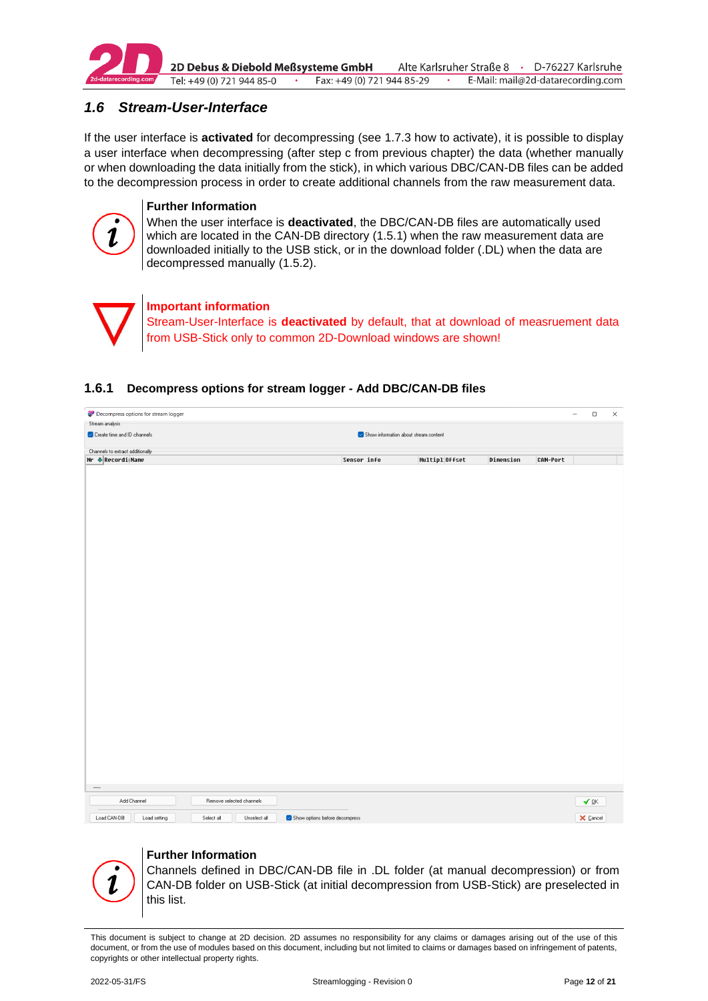

2D Debus & Diebold Meßsysteme GmbH Alte Karlsruher Straße 8 · D-76227 Karlsruhe Tel: +49 (0) 721 944 85-0  $\cdot$ Fax: +49 (0) 721 944 85-29 E-Mail: mail@2d-datarecording.com

# <span id="page-11-0"></span>*1.6 Stream-User-Interface*

If the user interface is **activated** for decompressing (see [1.7.3](#page-16-0) how to activate), it is possible to display a user interface when decompressing (after step c from previous chapter) the data (whether manually or when downloading the data initially from the stick), in which various DBC/CAN-DB files can be added to the decompression process in order to create additional channels from the raw measurement data.



#### **Further Information**

When the user interface is **deactivated**, the DBC/CAN-DB files are automatically used which are located in the CAN-DB directory [\(1.5.1\)](#page-9-0) when the raw measurement data are downloaded initially to the USB stick, or in the download folder (.DL) when the data are decompressed manually [\(1.5.2\)](#page-10-0).



#### <span id="page-11-1"></span>**1.6.1 Decompress options for stream logger - Add DBC/CAN-DB files**

| 2 <sup>0</sup> Decompress options for stream logger                                         |                                       |                 |           | $\overline{\phantom{a}}$ |                 | $\hfill \square$ | $\times$ |
|---------------------------------------------------------------------------------------------|---------------------------------------|-----------------|-----------|--------------------------|-----------------|------------------|----------|
| Stream analysis                                                                             |                                       |                 |           |                          |                 |                  |          |
| Create time and ID channels                                                                 | Show information about stream content |                 |           |                          |                 |                  |          |
| Channels to extract additionally                                                            |                                       |                 |           |                          |                 |                  |          |
| Nr <b>↓</b> RecordiMame                                                                     | Sensor info                           | Multipl: Offset | Dimension | CAN-Port                 |                 |                  |          |
|                                                                                             |                                       |                 |           |                          |                 |                  |          |
|                                                                                             |                                       |                 |           |                          |                 |                  |          |
|                                                                                             |                                       |                 |           |                          |                 |                  |          |
|                                                                                             |                                       |                 |           |                          |                 |                  |          |
|                                                                                             |                                       |                 |           |                          |                 |                  |          |
|                                                                                             |                                       |                 |           |                          |                 |                  |          |
|                                                                                             |                                       |                 |           |                          |                 |                  |          |
|                                                                                             |                                       |                 |           |                          |                 |                  |          |
|                                                                                             |                                       |                 |           |                          |                 |                  |          |
|                                                                                             |                                       |                 |           |                          |                 |                  |          |
|                                                                                             |                                       |                 |           |                          |                 |                  |          |
|                                                                                             |                                       |                 |           |                          |                 |                  |          |
|                                                                                             |                                       |                 |           |                          |                 |                  |          |
|                                                                                             |                                       |                 |           |                          |                 |                  |          |
|                                                                                             |                                       |                 |           |                          |                 |                  |          |
|                                                                                             |                                       |                 |           |                          |                 |                  |          |
|                                                                                             |                                       |                 |           |                          |                 |                  |          |
|                                                                                             |                                       |                 |           |                          |                 |                  |          |
|                                                                                             |                                       |                 |           |                          |                 |                  |          |
|                                                                                             |                                       |                 |           |                          |                 |                  |          |
|                                                                                             |                                       |                 |           |                          |                 |                  |          |
|                                                                                             |                                       |                 |           |                          |                 |                  |          |
|                                                                                             |                                       |                 |           |                          |                 |                  |          |
|                                                                                             |                                       |                 |           |                          |                 |                  |          |
|                                                                                             |                                       |                 |           |                          |                 |                  |          |
|                                                                                             |                                       |                 |           |                          |                 |                  |          |
|                                                                                             |                                       |                 |           |                          |                 |                  |          |
|                                                                                             |                                       |                 |           |                          |                 |                  |          |
|                                                                                             |                                       |                 |           |                          |                 |                  |          |
| Add Channel<br>Remove selected channels                                                     |                                       |                 |           |                          | ✔ ፬እ            |                  |          |
|                                                                                             |                                       |                 |           |                          |                 |                  |          |
| Load CAN-DB<br>Load setting<br>Select all<br>Unselect all<br>Show options before decompress |                                       |                 |           |                          | $\times$ Cancel |                  |          |

#### **Further Information**

Channels defined in DBC/CAN-DB file in .DL folder (at manual decompression) or from CAN-DB folder on USB-Stick (at initial decompression from USB-Stick) are preselected in this list.

This document is subject to change at 2D decision. 2D assumes no responsibility for any claims or damages arising out of the use of this document, or from the use of modules based on this document, including but not limited to claims or damages based on infringement of patents, copyrights or other intellectual property rights.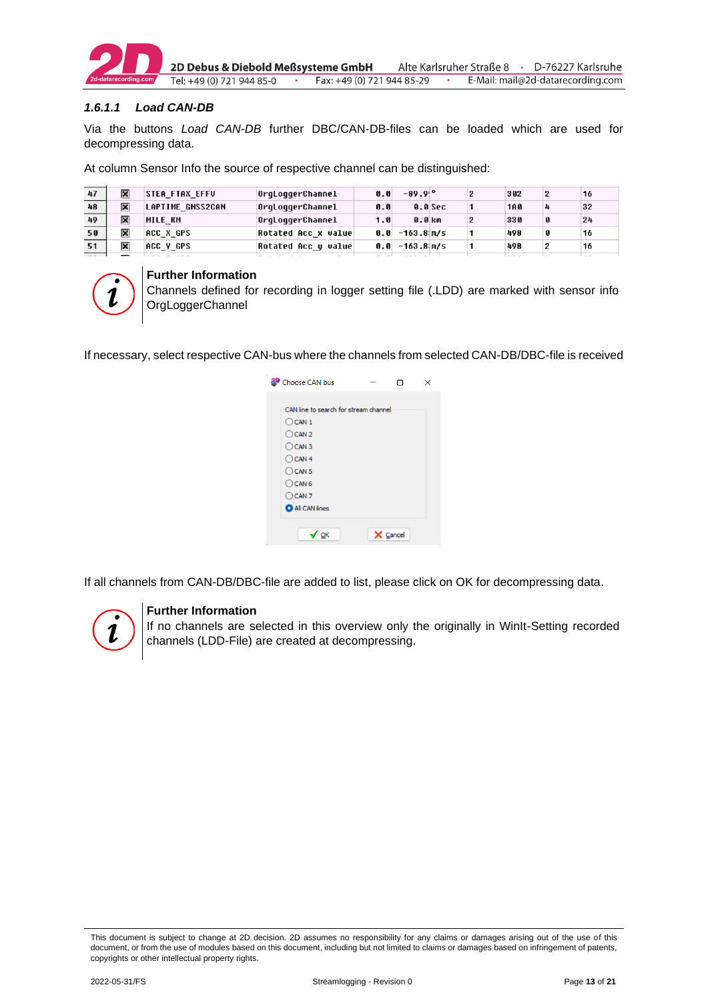

2D Debus & Diebold Meßsysteme GmbH Alte Karlsruher Straße 8 · D-76227 Karlsruhe Fax: +49 (0) 721 944 85-29 E-Mail: mail@2d-datarecording.com Tel: +49 (0) 721 944 85-0  $\cdot$ 

#### *1.6.1.1 Load CAN-DB*

Via the buttons *Load CAN-DB* further DBC/CAN-DB-files can be loaded which are used for decompressing data.

At column Sensor Info the source of respective channel can be distinguished:

| 47 | × | <b>STEA FTAX EFFU</b> | OrqLoqqerChannel    | 0.0  | $-89.9$ <sup>o</sup> |         | 302        |   | 16 |
|----|---|-----------------------|---------------------|------|----------------------|---------|------------|---|----|
| 48 | ℼ | LAPTIME GNSS2CAN      | OrqLoqqerChannel    | 0.0  |                      | 0.0 Sec | <b>1A0</b> | 4 | 32 |
| 49 | ℼ | <b>MILE KM</b>        | OrgLoggerChannel    | 1.0  | 0.0 km               |         | 330        |   | 24 |
| 50 | ℼ | ACC X GPS             | Rotated Acc x value | 0. A | -163.8¦m/s           |         | 498        |   | 16 |
| 51 | ℼ | ACC Y GPS             | Rotated Acc y value | 0.0  | -163.8 m/s           |         | 498        | 2 | 16 |
|    |   |                       |                     |      |                      |         |            |   |    |



#### **Further Information**

Channels defined for recording in logger setting file (.LDD) are marked with sensor info **OrgLoggerChannel** 

If necessary, select respective CAN-bus where the channels from selected CAN-DB/DBC-file is received

| Choose CAN bus                        |          | × |
|---------------------------------------|----------|---|
|                                       |          |   |
| CAN line to search for stream channel |          |   |
| $O$ CAN 1                             |          |   |
| $O$ CAN 2                             |          |   |
| $O$ CAN 3                             |          |   |
| $O$ CAN 4                             |          |   |
| $\bigcirc$ CAN 5                      |          |   |
| $\bigcirc$ CAN 6                      |          |   |
| $O$ CAN 7                             |          |   |
| <b>O</b> All CAN lines                |          |   |
|                                       |          |   |
| √ ok                                  | X Cancel |   |
|                                       |          |   |

If all channels from CAN-DB/DBC-file are added to list, please click on OK for decompressing data.



#### **Further Information**

If no channels are selected in this overview only the originally in WinIt-Setting recorded channels (LDD-File) are created at decompressing.

This document is subject to change at 2D decision. 2D assumes no responsibility for any claims or damages arising out of the use of this document, or from the use of modules based on this document, including but not limited to claims or damages based on infringement of patents, copyrights or other intellectual property rights.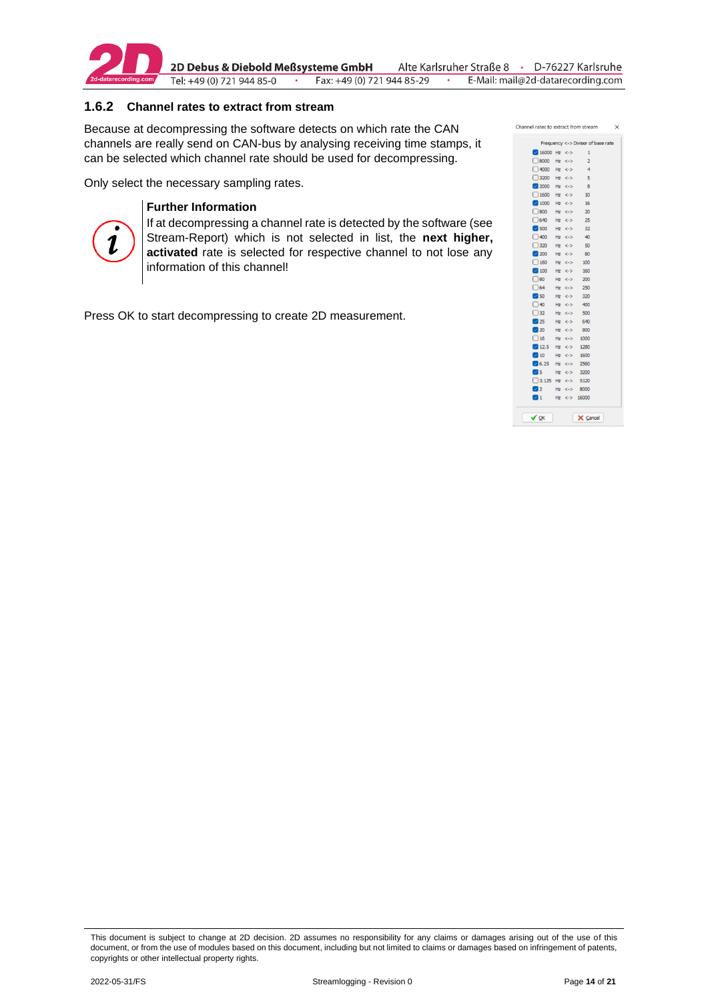

#### <span id="page-13-0"></span>**1.6.2 Channel rates to extract from stream**

Because at decompressing the software detects on which rate the CAN channels are really send on CAN-bus by analysing receiving time stamps, it can be selected which channel rate should be used for decompressing.

Only select the necessary sampling rates.



#### **Further Information**

If at decompressing a channel rate is detected by the software (see Stream-Report) which is not selected in list, the **next higher, activated** rate is selected for respective channel to not lose any information of this channel!

Press OK to start decompressing to create 2D measurement.

|                                |            | Frequency <-> Divisor of base rate |
|--------------------------------|------------|------------------------------------|
| $16000$ Hz <->                 |            | $\mathbf{1}$                       |
| $9000$ Hz <->                  |            | $\sqrt{2}$                         |
| $14000$ Hz <->                 |            | $-4$                               |
| □ 3200 Hz <->                  |            | $5^{\circ}$                        |
| $2000$ Hz <->                  |            | 8                                  |
| $1600$ Hz <->                  |            | 10                                 |
| $1000$ Hz <->                  |            | 16                                 |
| $\Box$ 800                     | $Hz \le 5$ | 20                                 |
| $\Box$ 640                     | $Hz \leq$  | 25                                 |
| 3500                           | $Hz \iff$  | 32                                 |
| $\Box$ 400                     | $Hz \leq$  | 40                                 |
| 320                            | $Hz \le 2$ | 50                                 |
| 200                            | $Hz \leq$  | 80                                 |
| $160$ Hz $\leftarrow$          |            | 100                                |
| $100$ Hz <-> 160               |            |                                    |
| $\Box$ 80                      |            | $Hz \le 200$                       |
| $\Box$ 64                      | $Hz \le 2$ | 250                                |
| 350                            | $Hz \le 2$ | 320                                |
| $\Box$ 40                      | $Hz \le 2$ | 400                                |
| $\Box$ 32                      | $Hz \iff$  | 500                                |
| 25                             | $Hz \le 2$ | 640                                |
| 20                             | $Hz \le 2$ | 800                                |
| 16                             | $Hz \le 2$ | 1000                               |
| 12.5                           | $Hz \iff$  | 1280                               |
| $\blacksquare$ 10              | $Hz \le 2$ | 1600                               |
| $\frac{1}{2}$ 6.25 Hz <-> 2560 |            |                                    |
| 5                              |            | $Hz \iff 3200$                     |
| $3.125$ Hz <-> 5120            |            |                                    |
| $\mathbf{2}$                   |            | $Hz \le 3000$                      |
| $1$ Hz <-> 16000               |            |                                    |

This document is subject to change at 2D decision. 2D assumes no responsibility for any claims or damages arising out of the use of this document, or from the use of modules based on this document, including but not limited to claims or damages based on infringement of patents, copyrights or other intellectual property rights.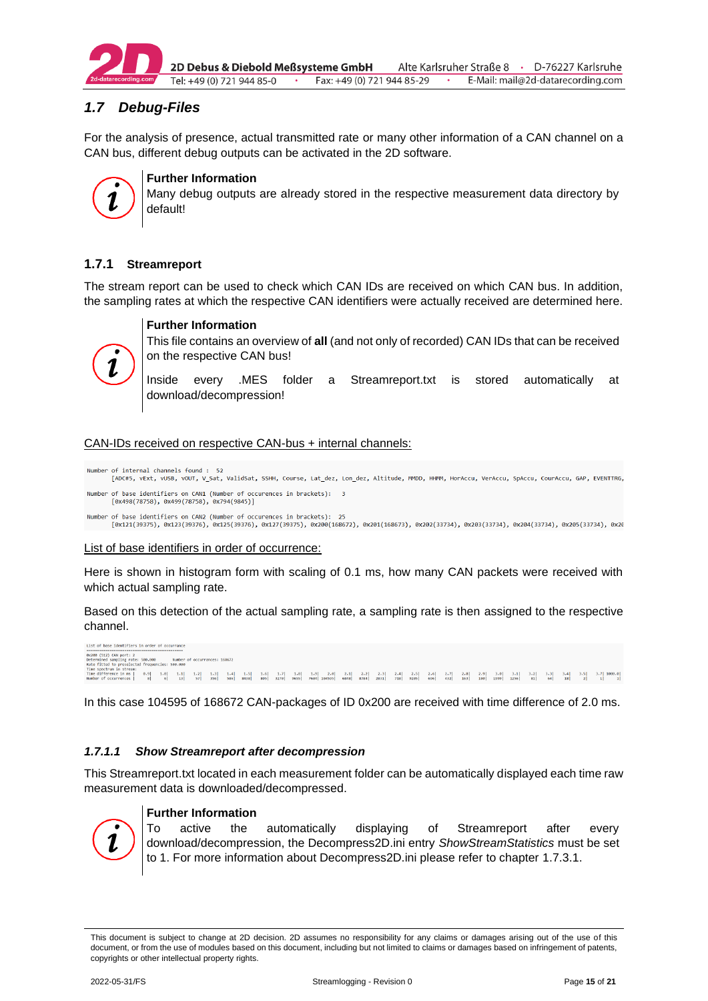

2D Debus & Diebold Meßsysteme GmbH Alte Karlsruher Straße 8 · D-76227 Karlsruhe Tel: +49 (0) 721 944 85-0 · Fax: +49 (0) 721 944 85-29 E-Mail: mail@2d-datarecording.com

# <span id="page-14-0"></span>*1.7 Debug-Files*

For the analysis of presence, actual transmitted rate or many other information of a CAN channel on a CAN bus, different debug outputs can be activated in the 2D software.



#### **Further Information**

Many debug outputs are already stored in the respective measurement data directory by default!

#### <span id="page-14-1"></span>**1.7.1 Streamreport**

The stream report can be used to check which CAN IDs are received on which CAN bus. In addition, the sampling rates at which the respective CAN identifiers were actually received are determined here.



#### **Further Information**

This file contains an overview of **all** (and not only of recorded) CAN IDs that can be received on the respective CAN bus!

Inside every .MES folder a Streamreport.txt is stored automatically at download/decompression!

#### CAN-IDs received on respective CAN-bus + internal channels:

Number of internal channels found : 52<br>[ADC#5, vExt, vUSB, vOUT, V Sat, ValidSat, SSHH, Course, Lat dez, Lon dez, Altitude, MMDD, HHMM, HorAccu, VerAccu, SpAccu, CourAccu, GAP, EVENTTRG, Number of base identifiers on CAN1 (Number of occurences in brackets): 3  $[0x498(78758), 0x499(78758), 0x794(9845)]$ 

Number of base identifiers on CAN2 (Number of occurences in brackets): 25<br>[0x121(39375), 0x123(39376), 0x125(39376), 0x127(39375), 0x200(168672), 0x201(168673), 0x202(33734), 0x203(33734), 0x204(33734), 0x205(33734), 0x20

#### List of base identifiers in order of occurrence:

Here is shown in histogram form with scaling of 0.1 ms, how many CAN packets were received with which actual sampling rate.

Based on this detection of the actual sampling rate, a sampling rate is then assigned to the respective channel.

```
List of base identifiers in order of occurrance
examples and produce and the series of the series of the Determined sampling rate: 500.000 Window Mumber of occurrances: 168672<br>Determined sampling rate: 500.000 Number of occurrances: 168672
Rate htted to presidented<br>Time difference in me) 1.0 in 1.1 1.3 1.4 1.5 1.6 1.7 1.8 1.9 2.6 2.1 2.2 2.3 2.4 2.5 2.6 2.7 2.8 2.9 3.0 3.1 3.2 3.1 3.2 3.3 3.4 3.5 3.7 1090.0<br>Time difference in all 6 1.3 37 356 396 8438 895 3
```
In this case 104595 of 168672 CAN-packages of ID 0x200 are received with time difference of 2.0 ms.

#### *1.7.1.1 Show Streamreport after decompression*

This Streamreport.txt located in each measurement folder can be automatically displayed each time raw measurement data is downloaded/decompressed.



#### **Further Information**

To active the automatically displaying of Streamreport after every download/decompression, the Decompress2D.ini entry *ShowStreamStatistics* must be set to 1. For more information about Decompress2D.ini please refer to chapter [1.7.3.1.](#page-17-0)

This document is subject to change at 2D decision. 2D assumes no responsibility for any claims or damages arising out of the use of this document, or from the use of modules based on this document, including but not limited to claims or damages based on infringement of patents, copyrights or other intellectual property rights.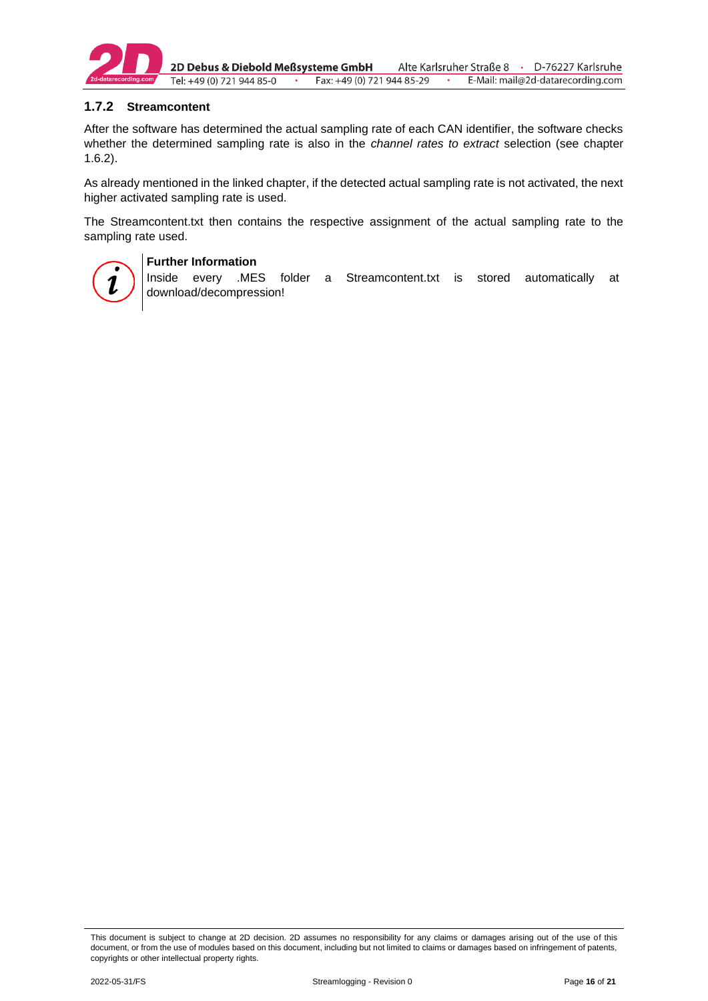

2D Debus & Diebold Meßsysteme GmbH Alte Karlsruher Straße 8 · D-76227 Karlsruhe Fax: +49 (0) 721 944 85-29 E-Mail: mail@2d-datarecording.com Tel: +49 (0) 721 944 85-0  $\sim$   $\sim$ 

#### <span id="page-15-0"></span>**1.7.2 Streamcontent**

After the software has determined the actual sampling rate of each CAN identifier, the software checks whether the determined sampling rate is also in the *channel rates to extract* selection (see chapter [1.6.2\)](#page-13-0).

As already mentioned in the linked chapter, if the detected actual sampling rate is not activated, the next higher activated sampling rate is used.

The Streamcontent.txt then contains the respective assignment of the actual sampling rate to the sampling rate used.



#### **Further Information**

Inside every .MES folder a Streamcontent.txt is stored automatically at download/decompression!

This document is subject to change at 2D decision. 2D assumes no responsibility for any claims or damages arising out of the use of this document, or from the use of modules based on this document, including but not limited to claims or damages based on infringement of patents, copyrights or other intellectual property rights.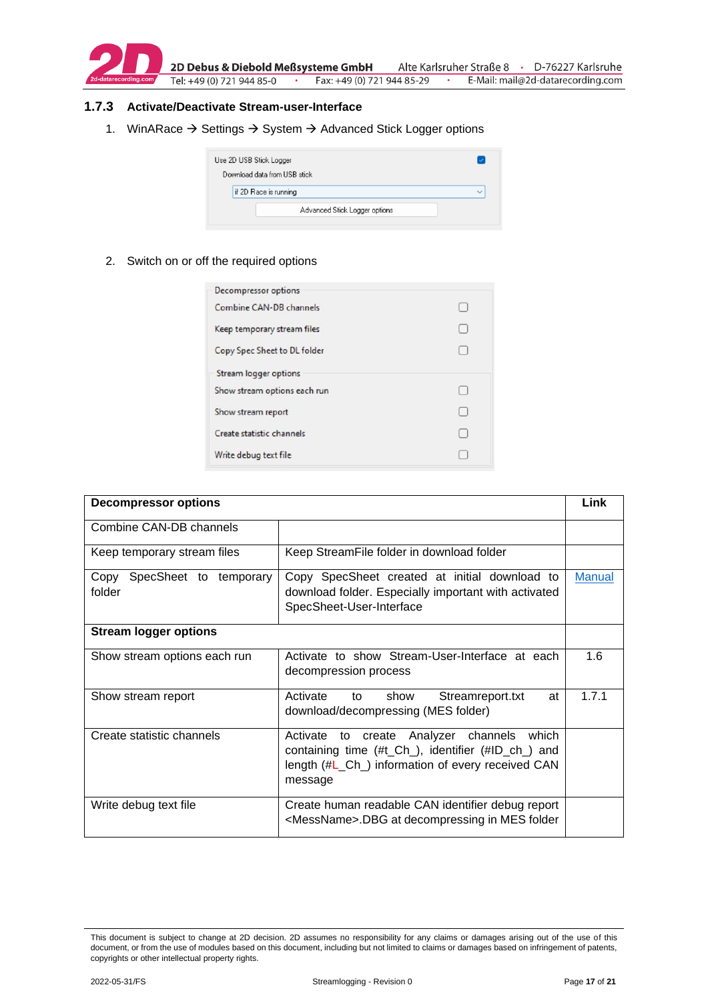

#### <span id="page-16-0"></span>**1.7.3 Activate/Deactivate Stream-user-Interface**

1. WinARace → Settings → System → Advanced Stick Logger options

| Use 2D USB Stick Logger<br>Download data from USB stick |              |
|---------------------------------------------------------|--------------|
| if 2D Race is running                                   | $\checkmark$ |
| Advanced Stick Logger options                           |              |

2. Switch on or off the required options

| <b>Decompressor options</b>  |        |
|------------------------------|--------|
| Combine CAN-DB channels      | H      |
| Keep temporary stream files  | $\Box$ |
| Copy Spec Sheet to DL folder | €      |
| Stream logger options        |        |
| Show stream options each run | $\Box$ |
| Show stream report           | $\Box$ |
| Create statistic channels    | L.     |
| Write debug text file        |        |

| <b>Decompressor options</b>           |                                                                                                                                                                           | Link          |  |  |  |
|---------------------------------------|---------------------------------------------------------------------------------------------------------------------------------------------------------------------------|---------------|--|--|--|
| Combine CAN-DB channels               |                                                                                                                                                                           |               |  |  |  |
| Keep temporary stream files           | Keep StreamFile folder in download folder                                                                                                                                 |               |  |  |  |
| Copy SpecSheet to temporary<br>folder | Copy SpecSheet created at initial download to<br>download folder. Especially important with activated<br>SpecSheet-User-Interface                                         | <b>Manual</b> |  |  |  |
| <b>Stream logger options</b>          |                                                                                                                                                                           |               |  |  |  |
| Show stream options each run          | Activate to show Stream-User-Interface at each<br>decompression process                                                                                                   | 1.6           |  |  |  |
| Show stream report                    | Activate<br>to<br>show<br>Streamreport.txt<br>at<br>download/decompressing (MES folder)                                                                                   | 1.7.1         |  |  |  |
| Create statistic channels             | create Analyzer channels<br>Activate<br>which<br>to<br>containing time (#t_Ch_), identifier (#ID_ch_) and<br>length (#L_Ch_) information of every received CAN<br>message |               |  |  |  |
| Write debug text file                 | Create human readable CAN identifier debug report<br><messname>.DBG at decompressing in MES folder</messname>                                                             |               |  |  |  |

This document is subject to change at 2D decision. 2D assumes no responsibility for any claims or damages arising out of the use of this document, or from the use of modules based on this document, including but not limited to claims or damages based on infringement of patents, copyrights or other intellectual property rights.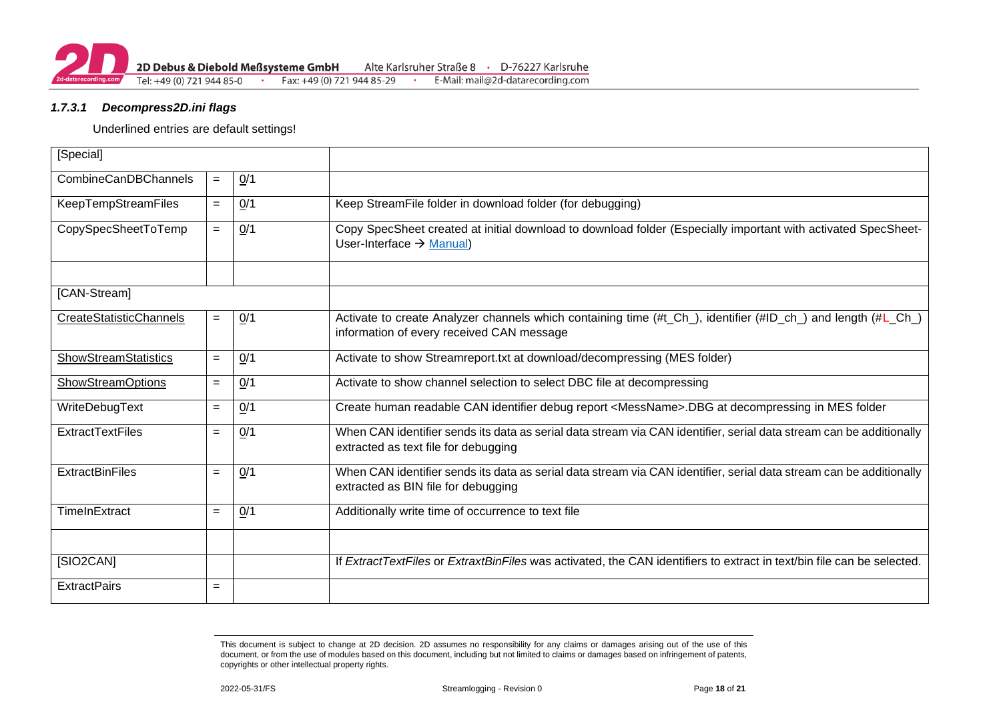#### *1.7.3.1 Decompress2D.ini flags*

#### Underlined entries are default settings!

<span id="page-17-0"></span>

| [Special]                             |     |     |                                                                                                                                                             |  |  |  |  |  |
|---------------------------------------|-----|-----|-------------------------------------------------------------------------------------------------------------------------------------------------------------|--|--|--|--|--|
| CombineCanDBChannels<br>Q/1<br>$=$    |     |     |                                                                                                                                                             |  |  |  |  |  |
| KeepTempStreamFiles                   | $=$ | 0/1 | Keep StreamFile folder in download folder (for debugging)                                                                                                   |  |  |  |  |  |
| 0/1<br>CopySpecSheetToTemp<br>$=$     |     |     | Copy SpecSheet created at initial download to download folder (Especially important with activated SpecSheet-<br>User-Interface $\rightarrow$ Manual)       |  |  |  |  |  |
|                                       |     |     |                                                                                                                                                             |  |  |  |  |  |
| [CAN-Stream]                          |     |     |                                                                                                                                                             |  |  |  |  |  |
| <b>CreateStatisticChannels</b>        | $=$ | 0/1 | Activate to create Analyzer channels which containing time (#t_Ch_), identifier (#ID_ch_) and length (#L_Ch_)<br>information of every received CAN message  |  |  |  |  |  |
| <b>ShowStreamStatistics</b>           | $=$ | 0/1 | Activate to show Streamreport.txt at download/decompressing (MES folder)                                                                                    |  |  |  |  |  |
| <b>ShowStreamOptions</b>              | $=$ | 0/1 | Activate to show channel selection to select DBC file at decompressing                                                                                      |  |  |  |  |  |
| WriteDebugText                        | $=$ | 0/1 | Create human readable CAN identifier debug report <messname>.DBG at decompressing in MES folder</messname>                                                  |  |  |  |  |  |
| <b>ExtractTextFiles</b><br>0/1<br>$=$ |     |     | When CAN identifier sends its data as serial data stream via CAN identifier, serial data stream can be additionally<br>extracted as text file for debugging |  |  |  |  |  |
| <b>ExtractBinFiles</b>                | $=$ | 0/1 | When CAN identifier sends its data as serial data stream via CAN identifier, serial data stream can be additionally<br>extracted as BIN file for debugging  |  |  |  |  |  |
| TimeInExtract                         | $=$ | 0/1 | Additionally write time of occurrence to text file                                                                                                          |  |  |  |  |  |
|                                       |     |     |                                                                                                                                                             |  |  |  |  |  |
| [SIO2CAN]                             |     |     | If ExtractTextFiles or ExtraxtBinFiles was activated, the CAN identifiers to extract in text/bin file can be selected.                                      |  |  |  |  |  |
| <b>ExtractPairs</b>                   | $=$ |     |                                                                                                                                                             |  |  |  |  |  |

This document is subject to change at 2D decision. 2D assumes no responsibility for any claims or damages arising out of the use of this document, or from the use of modules based on this document, including but not limited to claims or damages based on infringement of patents, copyrights or other intellectual property rights.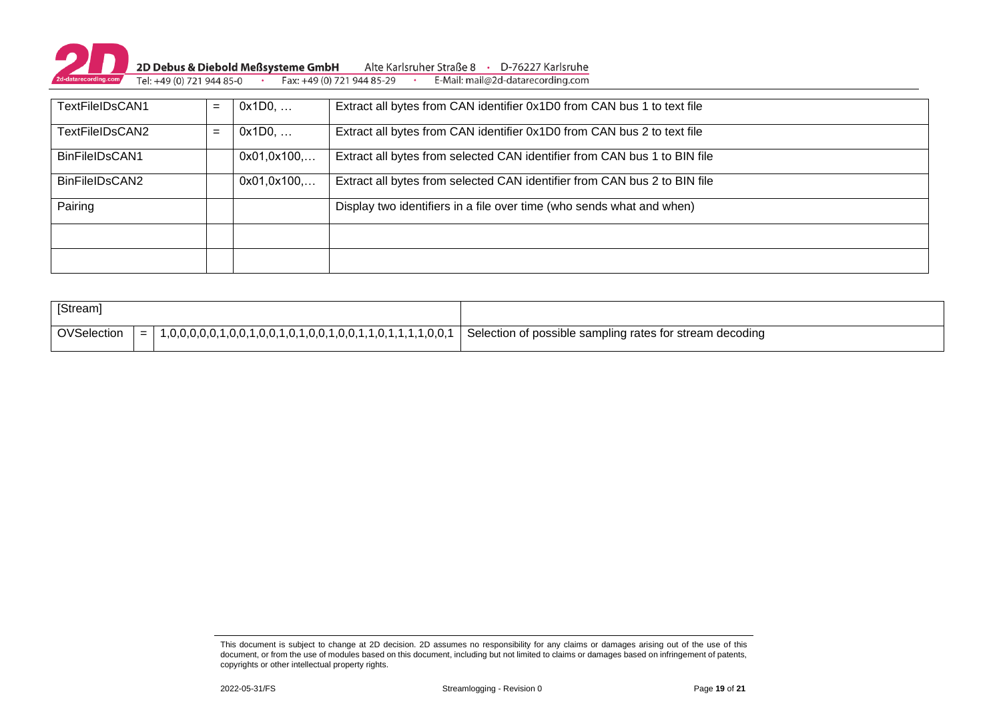

| TextFileIDsCAN1 | $=$ | 0x1D0,      | Extract all bytes from CAN identifier 0x1D0 from CAN bus 1 to text file   |
|-----------------|-----|-------------|---------------------------------------------------------------------------|
| TextFileIDsCAN2 | $=$ | 0x1D0,      | Extract all bytes from CAN identifier 0x1D0 from CAN bus 2 to text file   |
| BinFileIDsCAN1  |     | 0x01,0x100, | Extract all bytes from selected CAN identifier from CAN bus 1 to BIN file |
| BinFileIDsCAN2  |     | 0x01,0x100, | Extract all bytes from selected CAN identifier from CAN bus 2 to BIN file |
| Pairing         |     |             | Display two identifiers in a file over time (who sends what and when)     |
|                 |     |             |                                                                           |
|                 |     |             |                                                                           |

| [Stream]    |     |                                                           |                                                          |
|-------------|-----|-----------------------------------------------------------|----------------------------------------------------------|
| OVSelection | $=$ | 1,0,0,0,0,1,0,0,1,0,0,1,0,1,0,0,1,0,0,1,1,0,1,1,1,1,0,0,1 | Selection of possible sampling rates for stream decoding |

2022-05-31/FS Streamlogging - Revision 0 Page **19** of **21**

This document is subject to change at 2D decision. 2D assumes no responsibility for any claims or damages arising out of the use of this document, or from the use of modules based on this document, including but not limited to claims or damages based on infringement of patents, copyrights or other intellectual property rights.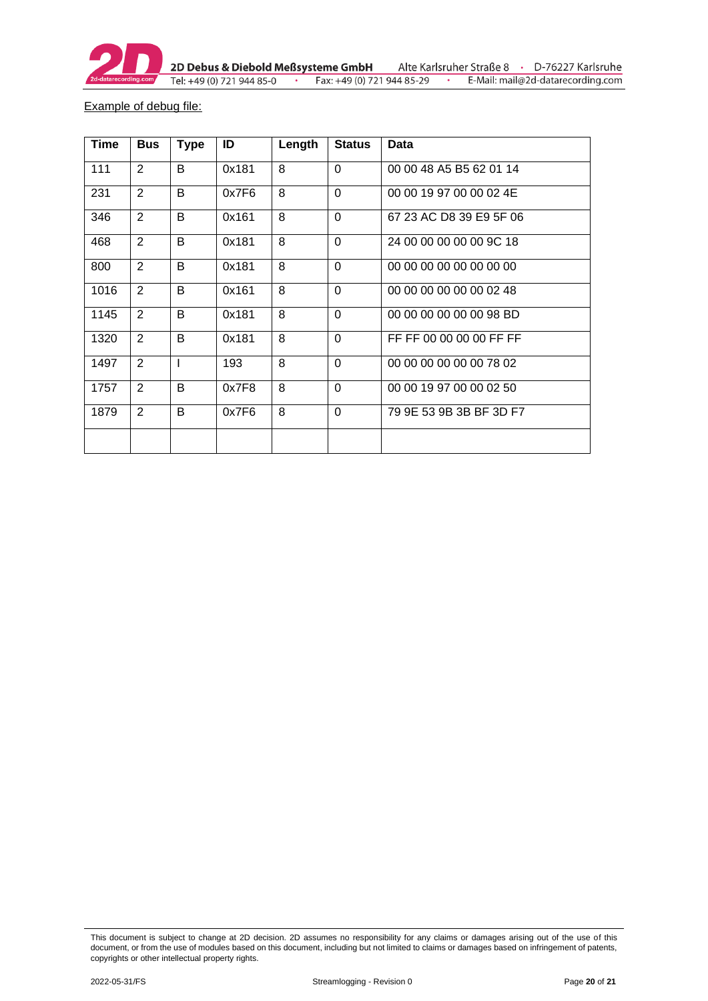

Example of debug file:

| <b>Time</b> | <b>Bus</b>     | <b>Type</b> | ID    | Length | <b>Status</b>  | <b>Data</b>             |
|-------------|----------------|-------------|-------|--------|----------------|-------------------------|
| 111         | $\overline{2}$ | B           | 0x181 | 8      | $\Omega$       | 00 00 48 A5 B5 62 01 14 |
| 231         | $\overline{2}$ | B           | 0x7F6 | 8      | $\mathbf 0$    | 00 00 19 97 00 00 02 4E |
| 346         | $\overline{2}$ | B           | 0x161 | 8      | $\mathbf 0$    | 67 23 AC D8 39 E9 5F 06 |
| 468         | $\overline{2}$ | B           | 0x181 | 8      | $\Omega$       | 24 00 00 00 00 00 9C 18 |
| 800         | 2              | B           | 0x181 | 8      | $\Omega$       | 00 00 00 00 00 00 00 00 |
| 1016        | 2              | B           | 0x161 | 8      | $\Omega$       | 00 00 00 00 00 00 02 48 |
| 1145        | 2              | B           | 0x181 | 8      | $\Omega$       | 00 00 00 00 00 00 98 BD |
| 1320        | 2              | B           | 0x181 | 8      | $\Omega$       | FF FF 00 00 00 00 FF FF |
| 1497        | 2              | L           | 193   | 8      | $\Omega$       | 00 00 00 00 00 00 78 02 |
| 1757        | 2              | B           | 0x7F8 | 8      | $\Omega$       | 00 00 19 97 00 00 02 50 |
| 1879        | 2              | B           | 0x7F6 | 8      | $\overline{0}$ | 79 9E 53 9B 3B BF 3D F7 |
|             |                |             |       |        |                |                         |

This document is subject to change at 2D decision. 2D assumes no responsibility for any claims or damages arising out of the use of this document, or from the use of modules based on this document, including but not limited to claims or damages based on infringement of patents, copyrights or other intellectual property rights.